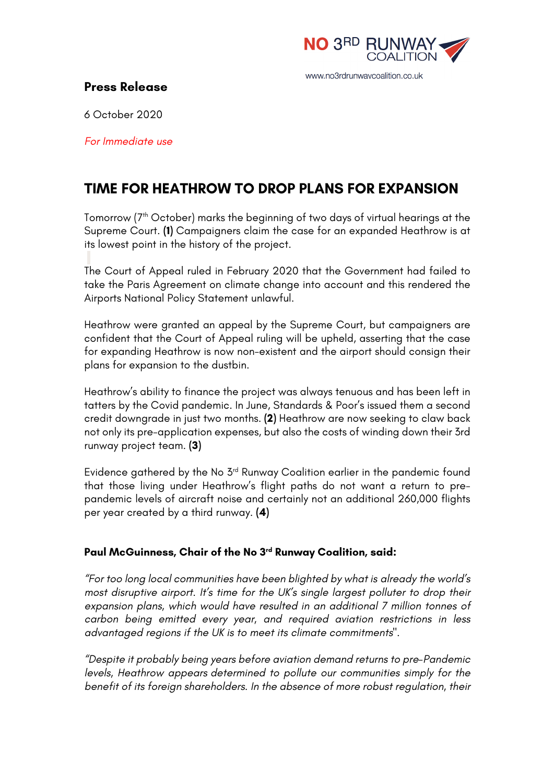

# **Press Release**

6 October 2020

*For Immediate use*

# **TIME FOR HEATHROW TO DROP PLANS FOR EXPANSION**

Tomorrow (7th October) marks the beginning of two days of virtual hearings at the Supreme Court. **(1)** Campaigners claim the case for an expanded Heathrow is at its lowest point in the history of the project.

The Court of Appeal ruled in February 2020 that the Government had failed to take the Paris Agreement on climate change into account and this rendered the Airports National Policy Statement unlawful.

Heathrow were granted an appeal by the Supreme Court, but campaigners are confident that the Court of Appeal ruling will be upheld, asserting that the case for expanding Heathrow is now non-existent and the airport should consign their plans for expansion to the dustbin.

Heathrow's ability to finance the project was always tenuous and has been left in tatters by the Covid pandemic. In June, Standards & Poor's issued them a second credit downgrade in just two months. **(2)** Heathrow are now seeking to claw back not only its pre-application expenses, but also the costs of winding down their 3rd runway project team. **(3)**

Evidence gathered by the No 3rd Runway Coalition earlier in the pandemic found that those living under Heathrow's flight paths do not want a return to prepandemic levels of aircraft noise and certainly not an additional 260,000 flights per year created by a third runway. **(4)**

### **Paul McGuinness, Chair of the No 3rd Runway Coalition, said:**

*"For too long local communities have been blighted by what is already the world's most disruptive airport. It's time for the UK's single largest polluter to drop their expansion plans, which would have resulted in an additional 7 million tonnes of carbon being emitted every year, and required aviation restrictions in less advantaged regions if the UK is to meet its climate commitments".*

*"Despite it probably being years before aviation demand returns to pre-Pandemic levels, Heathrow appears determined to pollute our communities simply for the benefit of its foreign shareholders. In the absence of more robust regulation, their*